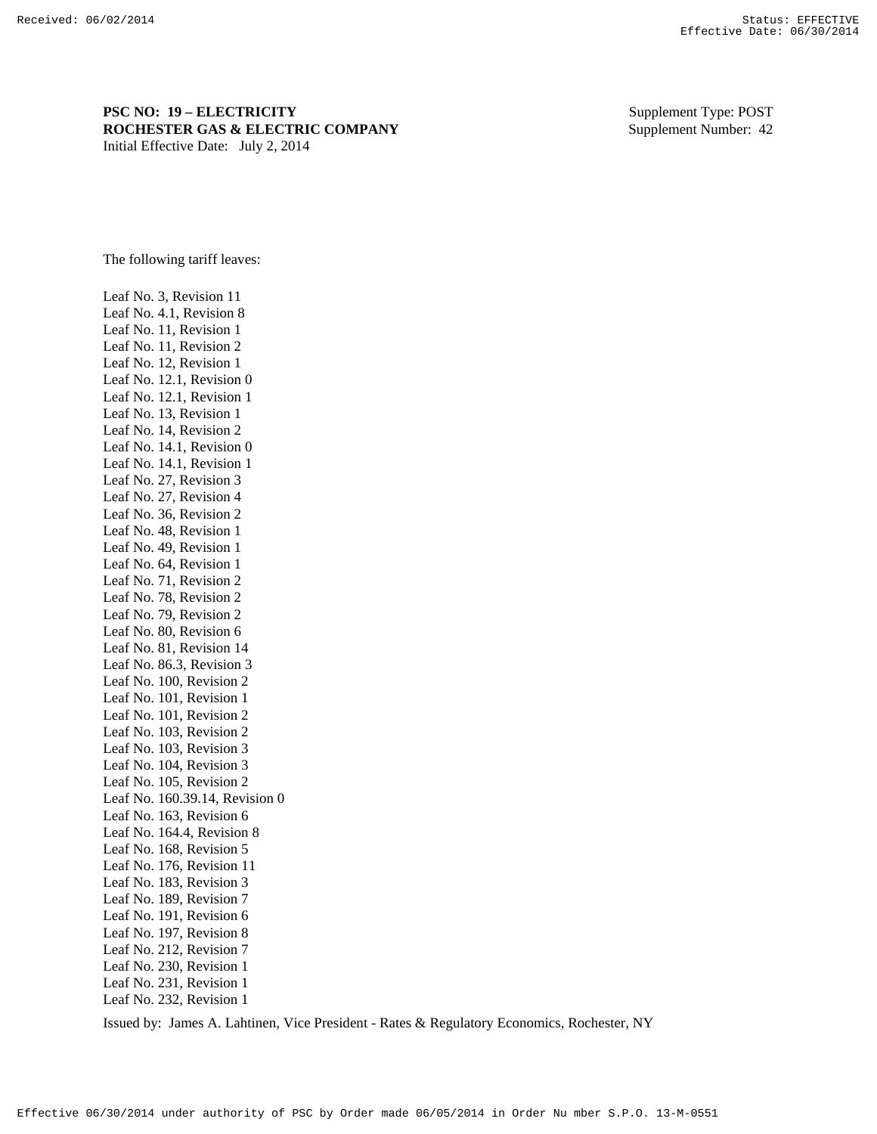**PSC NO: 19 – ELECTRICITY** Supplement Type: POST **ROCHESTER GAS & ELECTRIC COMPANY** Supplement Number: 42 Initial Effective Date: July 2, 2014

The following tariff leaves:

Leaf No. 3, Revision 11 Leaf No. 4.1, Revision 8 Leaf No. 11, Revision 1 Leaf No. 11, Revision 2 Leaf No. 12, Revision 1 Leaf No. 12.1, Revision 0 Leaf No. 12.1, Revision 1 Leaf No. 13, Revision 1 Leaf No. 14, Revision 2 Leaf No. 14.1, Revision 0 Leaf No. 14.1, Revision 1 Leaf No. 27, Revision 3 Leaf No. 27, Revision 4 Leaf No. 36, Revision 2 Leaf No. 48, Revision 1 Leaf No. 49, Revision 1 Leaf No. 64, Revision 1 Leaf No. 71, Revision 2 Leaf No. 78, Revision 2 Leaf No. 79, Revision 2 Leaf No. 80, Revision 6 Leaf No. 81, Revision 14 Leaf No. 86.3, Revision 3 Leaf No. 100, Revision 2 Leaf No. 101, Revision 1 Leaf No. 101, Revision 2 Leaf No. 103, Revision 2 Leaf No. 103, Revision 3 Leaf No. 104, Revision 3 Leaf No. 105, Revision 2 Leaf No. 160.39.14, Revision 0 Leaf No. 163, Revision 6 Leaf No. 164.4, Revision 8 Leaf No. 168, Revision 5 Leaf No. 176, Revision 11 Leaf No. 183, Revision 3 Leaf No. 189, Revision 7 Leaf No. 191, Revision 6 Leaf No. 197, Revision 8 Leaf No. 212, Revision 7 Leaf No. 230, Revision 1 Leaf No. 231, Revision 1 Leaf No. 232, Revision 1

Issued by: James A. Lahtinen, Vice President - Rates & Regulatory Economics, Rochester, NY